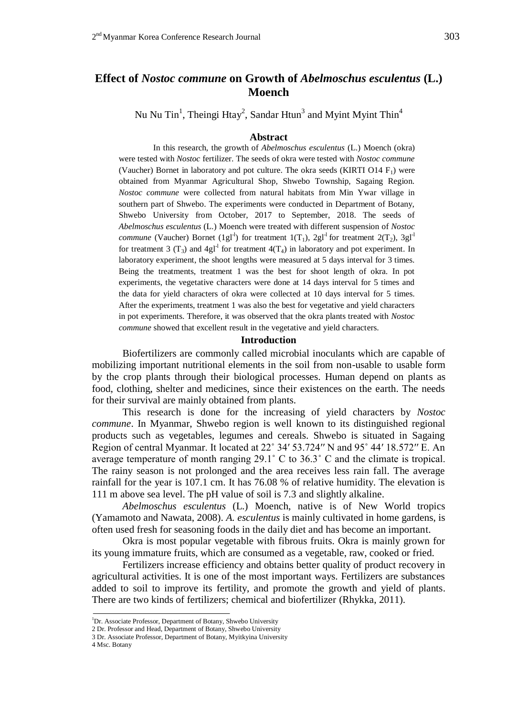# **Effect of** *Nostoc commune* **on Growth of** *Abelmoschus esculentus* **(L.) Moench**

Nu Nu Tin<sup>1</sup>, Theingi Htay<sup>2</sup>, Sandar Htun<sup>3</sup> and Myint Myint Thin<sup>4</sup>

### **Abstract**

In this research, the growth of *Abelmoschus esculentus* (L.) Moench (okra) were tested with *Nostoc* fertilizer. The seeds of okra were tested with *Nostoc commune*  (Vaucher) Bornet in laboratory and pot culture. The okra seeds (KIRTI O14  $F_1$ ) were obtained from Myanmar Agricultural Shop, Shwebo Township, Sagaing Region. *Nostoc commune* were collected from natural habitats from Min Ywar village in southern part of Shwebo. The experiments were conducted in Department of Botany, Shwebo University from October, 2017 to September, 2018. The seeds of *Abelmoschus esculentus* (L.) Moench were treated with different suspension of *Nostoc commune* (Vaucher) Bornet (1gl<sup>-1</sup>) for treatment 1(T<sub>1</sub>), 2gl<sup>-1</sup> for treatment 2(T<sub>2</sub>), 3gl<sup>-1</sup> for treatment 3 (T<sub>3</sub>) and 4gl<sup>-1</sup> for treatment 4(T<sub>4</sub>) in laboratory and pot experiment. In laboratory experiment, the shoot lengths were measured at 5 days interval for 3 times. Being the treatments, treatment 1 was the best for shoot length of okra. In pot experiments, the vegetative characters were done at 14 days interval for 5 times and the data for yield characters of okra were collected at 10 days interval for 5 times. After the experiments, treatment 1 was also the best for vegetative and yield characters in pot experiments. Therefore, it was observed that the okra plants treated with *Nostoc commune* showed that excellent result in the vegetative and yield characters.

#### **Introduction**

Biofertilizers are commonly called microbial inoculants which are capable of mobilizing important nutritional elements in the soil from non-usable to usable form by the crop plants through their biological processes. Human depend on plants as food, clothing, shelter and medicines, since their existences on the earth. The needs for their survival are mainly obtained from plants.

This research is done for the increasing of yield characters by *Nostoc commune*. In Myanmar, Shwebo region is well known to its distinguished regional products such as vegetables, legumes and cereals. Shwebo is situated in Sagaing Region of central Myanmar. It located at 22˚ 34′ 53.724′′ N and 95˚ 44′ 18.572′′ E. An average temperature of month ranging 29.1˚ C to 36.3˚ C and the climate is tropical. The rainy season is not prolonged and the area receives less rain fall. The average rainfall for the year is 107.1 cm. It has 76.08 % of relative humidity. The elevation is 111 m above sea level. The pH value of soil is 7.3 and slightly alkaline.

*Abelmoschus esculentus* (L.) Moench, native is of New World tropics (Yamamoto and Nawata, 2008). *A. esculentus* is mainly cultivated in home gardens, is often used fresh for seasoning foods in the daily diet and has become an important.

Okra is most popular vegetable with fibrous fruits. Okra is mainly grown for its young immature fruits, which are consumed as a vegetable, raw, cooked or fried.

Fertilizers increase efficiency and obtains better quality of product recovery in agricultural activities. It is one of the most important ways. Fertilizers are substances added to soil to improve its fertility, and promote the growth and yield of plants. There are two kinds of fertilizers; chemical and biofertilizer (Rhykka, 2011).

- 3 Dr. Associate Professor, Department of Botany, Myitkyina University
- 4 Msc. Botany

<sup>&</sup>lt;sup>1</sup>Dr. Associate Professor, Department of Botany, Shwebo University

<sup>2</sup> Dr. Professor and Head, Department of Botany, Shwebo University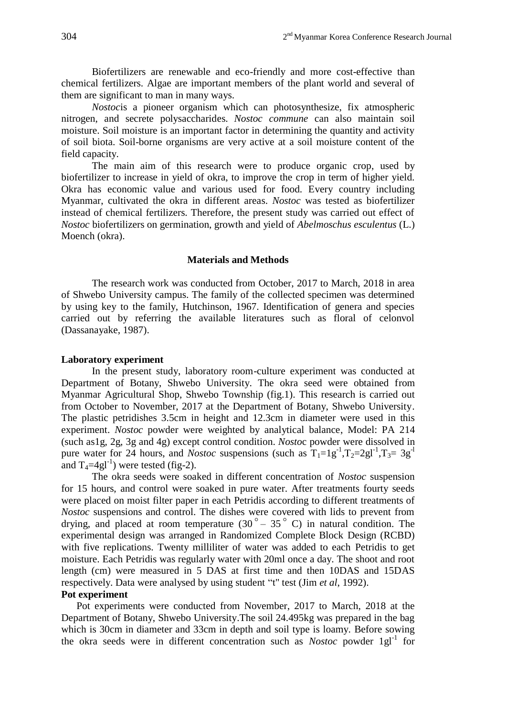Biofertilizers are renewable and eco-friendly and more cost-effective than chemical fertilizers. Algae are important members of the plant world and several of them are significant to man in many ways.

*Nostoc*is a pioneer organism which can photosynthesize, fix atmospheric nitrogen, and secrete polysaccharides. *Nostoc commune* can also maintain soil moisture. Soil moisture is an important factor in determining the quantity and activity of soil biota. Soil-borne organisms are very active at a soil moisture content of the field capacity.

The main aim of this research were to produce organic crop, used by biofertilizer to increase in yield of okra, to improve the crop in term of higher yield. Okra has economic value and various used for food. Every country including Myanmar, cultivated the okra in different areas. *Nostoc* was tested as biofertilizer instead of chemical fertilizers. Therefore, the present study was carried out effect of *Nostoc* biofertilizers on germination, growth and yield of *Abelmoschus esculentus* (L.) Moench (okra).

#### **Materials and Methods**

The research work was conducted from October, 2017 to March, 2018 in area of Shwebo University campus. The family of the collected specimen was determined by using key to the family, Hutchinson, 1967. Identification of genera and species carried out by referring the available literatures such as floral of celonvol (Dassanayake, 1987).

#### **Laboratory experiment**

In the present study, laboratory room-culture experiment was conducted at Department of Botany, Shwebo University. The okra seed were obtained from Myanmar Agricultural Shop, Shwebo Township (fig.1). This research is carried out from October to November, 2017 at the Department of Botany, Shwebo University. The plastic petridishes 3.5cm in height and 12.3cm in diameter were used in this experiment. *Nostoc* powder were weighted by analytical balance, Model: PA 214 (such as1g, 2g, 3g and 4g) except control condition. *Nosto*c powder were dissolved in pure water for 24 hours, and *Nostoc* suspensions (such as  $T_1=1g^{-1}, T_2=2gl^{-1}, T_3=3g^{-1}$ and  $T_4 = 4gl^{-1}$ ) were tested (fig-2).

The okra seeds were soaked in different concentration of *Nostoc* suspension for 15 hours, and control were soaked in pure water. After treatments fourty seeds were placed on moist filter paper in each Petridis according to different treatments of *Nostoc* suspensions and control. The dishes were covered with lids to prevent from drying, and placed at room temperature  $(30^\circ - 35^\circ \text{ C})$  in natural condition. The experimental design was arranged in Randomized Complete Block Design (RCBD) with five replications. Twenty milliliter of water was added to each Petridis to get moisture. Each Petridis was regularly water with 20ml once a day. The shoot and root length (cm) were measured in 5 DAS at first time and then 10DAS and 15DAS respectively. Data were analysed by using student "t" test (Jim *et al*, 1992).

# **Pot experiment**

Pot experiments were conducted from November, 2017 to March, 2018 at the Department of Botany, Shwebo University.The soil 24.495kg was prepared in the bag which is 30cm in diameter and 33cm in depth and soil type is loamy. Before sowing the okra seeds were in different concentration such as *Nostoc* powder 1g<sup>11</sup> for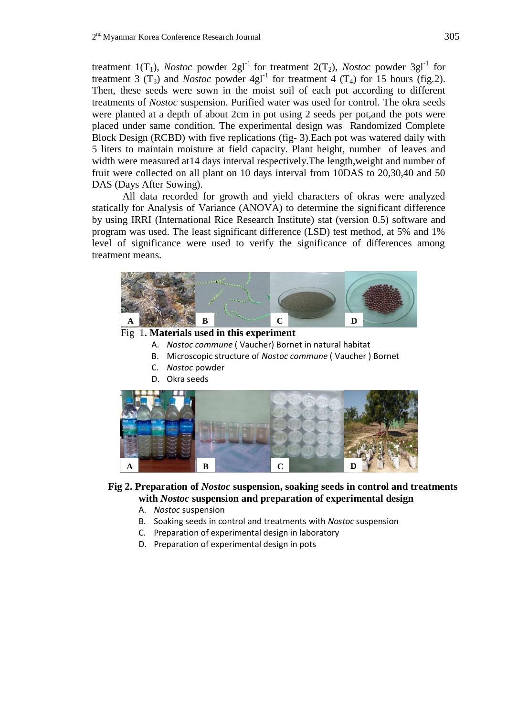treatment 1(T<sub>1</sub>), *Nostoc* powder 2gl<sup>-1</sup> for treatment 2(T<sub>2</sub>), *Nostoc* powder 3gl<sup>-1</sup> for treatment 3  $(T_3)$  and *Nostoc* powder 4gl<sup>-1</sup> for treatment 4  $(T_4)$  for 15 hours (fig.2). Then, these seeds were sown in the moist soil of each pot according to different treatments of *Nostoc* suspension. Purified water was used for control. The okra seeds were planted at a depth of about 2cm in pot using 2 seeds per pot,and the pots were placed under same condition. The experimental design was Randomized Complete Block Design (RCBD) with five replications (fig- 3).Each pot was watered daily with 5 liters to maintain moisture at field capacity. Plant height, number of leaves and width were measured at14 days interval respectively.The length,weight and number of fruit were collected on all plant on 10 days interval from 10DAS to 20,30,40 and 50 DAS (Days After Sowing).

All data recorded for growth and yield characters of okras were analyzed statically for Analysis of Variance (ANOVA) to determine the significant difference by using IRRI (International Rice Research Institute) stat (version 0.5) software and program was used. The least significant difference (LSD) test method, at 5% and 1% level of significance were used to verify the significance of differences among treatment means.



### Fig 1**. Materials used in this experiment**

- A. *Nostoc commune* ( Vaucher) Bornet in natural habitat
- B. Microscopic structure of *Nostoc commune* ( Vaucher ) Bornet
- C. *Nostoc* powder
- D. Okra seeds



### **Fig 2. Preparation of** *Nostoc* **suspension, soaking seeds in control and treatments with** *Nostoc* **suspension and preparation of experimental design**

- A. *Nostoc* suspension
- B. Soaking seeds in control and treatments with *Nostoc* suspension
- C. Preparation of experimental design in laboratory
- D. Preparation of experimental design in pots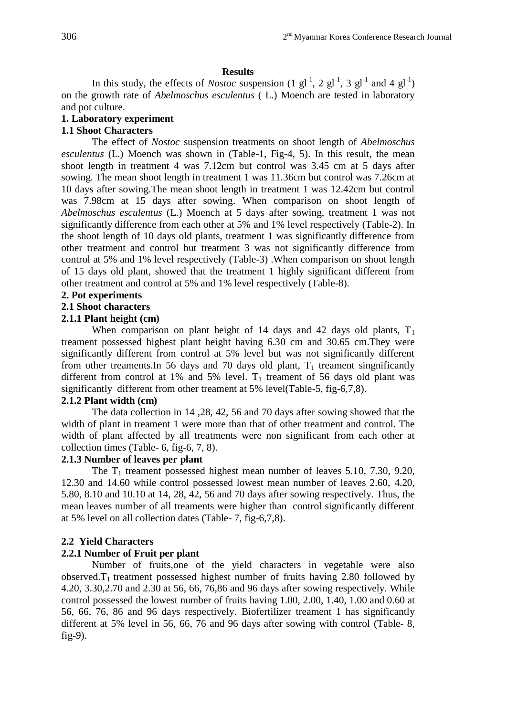### **Results**

In this study, the effects of *Nostoc* suspension  $(1 \text{ gl}^{-1}, 2 \text{ gl}^{-1}, 3 \text{ gl}^{-1}$  and 4  $\text{ gl}^{-1})$ on the growth rate of *Abelmoschus esculentus* ( L.) Moench are tested in laboratory and pot culture.

# **1. Laboratory experiment**

# **1.1 Shoot Characters**

The effect of *Nostoc* suspension treatments on shoot length of *Abelmoschus esculentus* (L.) Moench was shown in (Table-1, Fig-4, 5). In this result, the mean shoot length in treatment 4 was 7.12cm but control was 3.45 cm at 5 days after sowing. The mean shoot length in treatment 1 was 11.36cm but control was 7.26cm at 10 days after sowing.The mean shoot length in treatment 1 was 12.42cm but control was 7.98cm at 15 days after sowing. When comparison on shoot length of *Abelmoschus esculentus* (L.) Moench at 5 days after sowing, treatment 1 was not significantly difference from each other at 5% and 1% level respectively (Table-2). In the shoot length of 10 days old plants, treatment 1 was significantly difference from other treatment and control but treatment 3 was not significantly difference from control at 5% and 1% level respectively (Table-3) .When comparison on shoot length of 15 days old plant, showed that the treatment 1 highly significant different from other treatment and control at 5% and 1% level respectively (Table-8).

## **2. Pot experiments**

## **2.1 Shoot characters**

## **2.1.1 Plant height (cm)**

When comparison on plant height of 14 days and 42 days old plants,  $T_1$ treament possessed highest plant height having 6.30 cm and 30.65 cm.They were significantly different from control at 5% level but was not significantly different from other treaments. In 56 days and 70 days old plant,  $T_1$  treament singnificantly different from control at 1% and 5% level.  $T_1$  treament of 56 days old plant was significantly different from other treament at 5% level(Table-5, fig-6,7,8).

### **2.1.2 Plant width (cm)**

The data collection in 14 ,28, 42, 56 and 70 days after sowing showed that the width of plant in treament 1 were more than that of other treatment and control. The width of plant affected by all treatments were non significant from each other at collection times (Table- 6, fig-6, 7, 8).

# **2.1.3 Number of leaves per plant**

The  $T_1$  treament possessed highest mean number of leaves 5.10, 7.30, 9.20, 12.30 and 14.60 while control possessed lowest mean number of leaves 2.60, 4.20, 5.80, 8.10 and 10.10 at 14, 28, 42, 56 and 70 days after sowing respectively. Thus, the mean leaves number of all treaments were higher than control significantly different at 5% level on all collection dates (Table- 7, fig-6,7,8).

# **2.2 Yield Characters**

### **2.2.1 Number of Fruit per plant**

Number of fruits,one of the yield characters in vegetable were also observed. $T_1$  treatment possessed highest number of fruits having 2.80 followed by 4.20, 3.30,2.70 and 2.30 at 56, 66, 76,86 and 96 days after sowing respectively. While control possessed the lowest number of fruits having 1.00, 2.00, 1.40, 1.00 and 0.60 at 56, 66, 76, 86 and 96 days respectively. Biofertilizer treament 1 has significantly different at 5% level in 56, 66, 76 and 96 days after sowing with control (Table- 8, fig-9).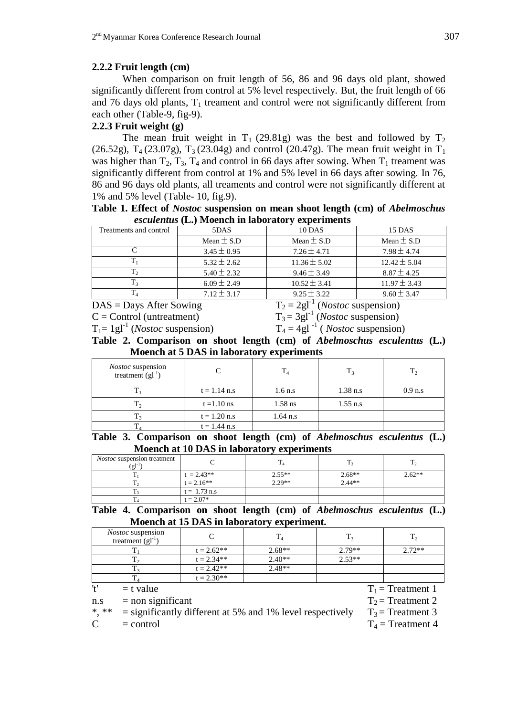# **2.2.2 Fruit length (cm)**

When comparison on fruit length of 56, 86 and 96 days old plant, showed significantly different from control at 5% level respectively. But, the fruit length of 66 and 76 days old plants,  $T_1$  treament and control were not significantly different from each other (Table-9, fig-9).

# **2.2.3 Fruit weight (g)**

The mean fruit weight in  $T_1$  (29.81g) was the best and followed by  $T_2$ (26.52g),  $T_4$  (23.07g),  $T_3$  (23.04g) and control (20.47g). The mean fruit weight in  $T_1$ was higher than  $T_2$ ,  $T_3$ ,  $T_4$  and control in 66 days after sowing. When  $T_1$  treament was significantly different from control at 1% and 5% level in 66 days after sowing. In 76, 86 and 96 days old plants, all treaments and control were not significantly different at 1% and 5% level (Table- 10, fig.9).

|  | Table 1. Effect of <i>Nostoc</i> suspension on mean shoot length (cm) of <i>Abelmoschus</i> |  |  |  |
|--|---------------------------------------------------------------------------------------------|--|--|--|
|  | <i>esculentus</i> (L.) Moench in laboratory experiments                                     |  |  |  |

| Treatments and control | 5DAS            | <b>10 DAS</b>    | 15 DAS           |
|------------------------|-----------------|------------------|------------------|
|                        | Mean $\pm$ S.D  | Mean $\pm$ S.D   | Mean $\pm$ S.D   |
|                        | $3.45 \pm 0.95$ | $7.26 \pm 4.71$  | $7.98 \pm 4.74$  |
|                        | $5.32 \pm 2.62$ | $11.36 \pm 5.02$ | $12.42 \pm 5.04$ |
| T,                     | $5.40 \pm 2.32$ | $9.46 \pm 3.49$  | $8.87 \pm 4.25$  |
| T3                     | $6.09 \pm 2.49$ | $10.52 \pm 3.41$ | $11.97 \pm 3.43$ |
|                        | $7.12 \pm 3.17$ | $9.25 \pm 3.22$  | $9.60 \pm 3.47$  |

 $DAS =$  Days After Sowing

 $T_2 = 2gl^{-1}$  (*Nostoc* suspension)

 $C =$  Control (untreatment)

 $T_3 = 3gl^{-1}$  (*Nostoc* suspension)

 $T_1 = 1gl^{-1}$  (*Nostoc* suspension)  $T_4 = 4gl^{-1}$ 

 $T_4 = 4gl^{-1}$  (*Nostoc* suspension)

**Table 2. Comparison on shoot length (cm) of** *Abelmoschus esculentus* **(L.) Moench at 5 DAS in laboratory experiments**

| <i>Nostoc</i> suspension<br>treatment $(gl^{-1})$ |                |            | $T_{3}$    |           |
|---------------------------------------------------|----------------|------------|------------|-----------|
|                                                   | $t = 1.14$ n.s | $1.6$ n.s  | $1.38$ n.s | $0.9$ n.s |
|                                                   | $t = 1.10$ ns  | $1.58$ ns  | $1.55$ n.s |           |
|                                                   | $t = 1.20$ n.s | $1.64$ n.s |            |           |
|                                                   | $t = 1.44$ n.s |            |            |           |

**Table 3. Comparison on shoot length (cm) of** *Abelmoschus esculentus* **(L.) Moench at 10 DAS in laboratory experiments**

| <i>Nostoc</i> suspension treatment<br>$(g1^{-1})$ |                |          |          |          |
|---------------------------------------------------|----------------|----------|----------|----------|
|                                                   | $t = 2.43**$   | $2.55**$ | $2.68**$ | $2.62**$ |
|                                                   | $t = 2.16**$   | $2.29**$ | $2.44**$ |          |
|                                                   | $t = 1.73$ n.s |          |          |          |
|                                                   | $t = 2.07*$    |          |          |          |

**Table 4. Comparison on shoot length (cm) of** *Abelmoschus esculentus* **(L.) Moench at 15 DAS in laboratory experiment.**

| <i>Nostoc</i> suspension<br>treatment $(gl^{-1})$ |              |          |          | $T_{2}$ |
|---------------------------------------------------|--------------|----------|----------|---------|
|                                                   | $t = 2.62**$ | $2.68**$ | $2.79**$ | $272**$ |
|                                                   | $t = 2.34**$ | $2.40**$ | $2.53**$ |         |
|                                                   | $t = 2.42**$ | $2.48**$ |          |         |
|                                                   | $t = 2.30**$ |          |          |         |

't'  $=$  t value  $T_1$  = Treatment 1

$$
1.8 = non significant
$$

nt  $T_2$  = Treatment 2

 $=$  significantly different at 5% and 1% level respectively  $T_3 =$  Treatment 3

 $C =$  control  $T_4 = T$ reatment 4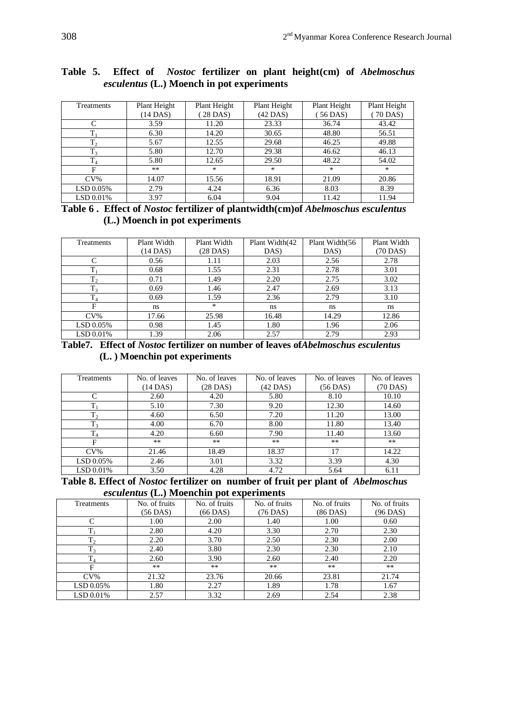| Treatments | Plant Height | Plant Height | Plant Height | Plant Height | Plant Height |
|------------|--------------|--------------|--------------|--------------|--------------|
|            | (14 DAS)     | 28 DAS)      | (42 DAS)     | $56$ DAS)    | $(70$ DAS)   |
|            | 3.59         | 11.20        | 23.33        | 36.74        | 43.42        |
| ᠇          | 6.30         | 14.20        | 30.65        | 48.80        | 56.51        |
| $T_2$      | 5.67         | 12.55        | 29.68        | 46.25        | 49.88        |
| $T_3$      | 5.80         | 12.70        | 29.38        | 46.62        | 46.13        |
| $\rm T_4$  | 5.80         | 12.65        | 29.50        | 48.22        | 54.02        |
| F          | $***$        | $\ast$       | $\ast$       | $\ast$       | $\ast$       |
| $CV\%$     | 14.07        | 15.56        | 18.91        | 21.09        | 20.86        |
| LSD 0.05%  | 2.79         | 4.24         | 6.36         | 8.03         | 8.39         |
| LSD 0.01%  | 3.97         | 6.04         | 9.04         | 11.42        | 11.94        |

# **Table 5. Effect of** *Nostoc* **fertilizer on plant height(cm) of** *Abelmoschus esculentus* **(L.) Moench in pot experiments**

**Table 6 . Effect of** *Nostoc* **fertilizer of plantwidth(cm)of** *Abelmoschus esculentus* **(L.) Moench in pot experiments**

| Treatments     | Plant Width | Plant Width | Plant Width(42) | Plant Width (56 | Plant Width   |
|----------------|-------------|-------------|-----------------|-----------------|---------------|
|                | $(14$ DAS)  | (28 DAS)    | DAS)            | DAS             | (70 DAS)      |
|                |             |             |                 |                 |               |
| $\sqrt{ }$     | 0.56        | 1.11        | 2.03            | 2.56            | 2.78          |
| $T_{1}$        | 0.68        | 1.55        | 2.31            | 2.78            | 3.01          |
| $T_2$          | 0.71        | 1.49        | 2.20            | 2.75            | 3.02          |
| $T_3$          | 0.69        | 1.46        | 2.47            | 2.69            | 3.13          |
| T <sub>4</sub> | 0.69        | 1.59        | 2.36            | 2.79            | 3.10          |
| F              | ns.         | $*$         | ns.             | ns              | <sub>ns</sub> |
| $CV\%$         | 17.66       | 25.98       | 16.48           | 14.29           | 12.86         |
| LSD 0.05%      | 0.98        | 1.45        | 1.80            | 1.96            | 2.06          |
| LSD 0.01%      | 1.39        | 2.06        | 2.57            | 2.79            | 2.93          |

**Table7. Effect of** *Nostoc* **fertilizer on number of leaves of***Abelmoschus esculentus* **(L. ) Moenchin pot experiments**

| <b>Treatments</b> | No. of leaves | No. of leaves | No. of leaves | No. of leaves | No. of leaves |
|-------------------|---------------|---------------|---------------|---------------|---------------|
|                   | (14 DAS)      | (28 DAS)      | (42 DAS)      | $(56$ DAS)    | (70 DAS)      |
| C                 | 2.60          | 4.20          | 5.80          | 8.10          | 10.10         |
| $T_1$             | 5.10          | 7.30          | 9.20          | 12.30         | 14.60         |
| $T_2$             | 4.60          | 6.50          | 7.20          | 11.20         | 13.00         |
| T <sub>3</sub>    | 4.00          | 6.70          | 8.00          | 11.80         | 13.40         |
| T <sub>4</sub>    | 4.20          | 6.60          | 7.90          | 11.40         | 13.60         |
| F                 | $***$         | $**$          | $***$         | $***$         | $***$         |
| $CV\%$            | 21.46         | 18.49         | 18.37         | 17            | 14.22         |
| LSD 0.05%         | 2.46          | 3.01          | 3.32          | 3.39          | 4.30          |
| LSD 0.01%         | 3.50          | 4.28          | 4.72          | 5.64          | 6.11          |

**Table 8. Effect of** *Nostoc* **fertilizer on number of fruit per plant of** *Abelmoschus esculentus* **(L.) Moenchin pot experiments**

| Treatments     | No. of fruits<br>(56 DAS) | No. of fruits<br>(66 DAS) | No. of fruits<br>(76 DAS) | No. of fruits<br>$(86$ DAS) | No. of fruits<br>(96 DAS) |
|----------------|---------------------------|---------------------------|---------------------------|-----------------------------|---------------------------|
|                | 1.00                      | 2.00                      | 1.40                      | 1.00                        | 0.60                      |
| $T_{1}$        | 2.80                      | 4.20                      | 3.30                      | 2.70                        | 2.30                      |
| $T_2$          | 2.20                      | 3.70                      | 2.50                      | 2.30                        | 2.00                      |
| $T_3$          | 2.40                      | 3.80                      | 2.30                      | 2.30                        | 2.10                      |
| T <sub>4</sub> | 2.60                      | 3.90                      | 2.60                      | 2.40                        | 2.20                      |
| F              | $***$                     | $***$                     | $**$                      | $**$                        | $**$                      |
| $CV\%$         | 21.32                     | 23.76                     | 20.66                     | 23.81                       | 21.74                     |
| LSD 0.05%      | 1.80                      | 2.27                      | 1.89                      | 1.78                        | 1.67                      |
| LSD 0.01%      | 2.57                      | 3.32                      | 2.69                      | 2.54                        | 2.38                      |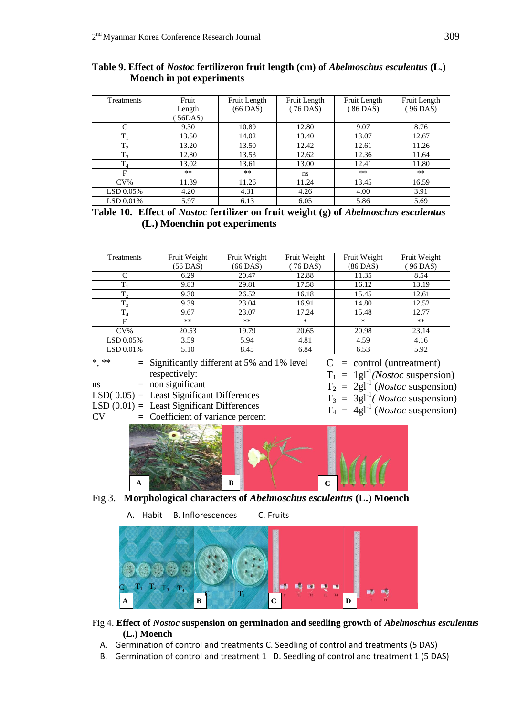| Treatments   | Fruit  | Fruit Length | Fruit Length  | Fruit Length | Fruit Length |
|--------------|--------|--------------|---------------|--------------|--------------|
|              | Length | $(66$ DAS)   | (76 DAS)      | (86 DAS)     | (96 DAS)     |
|              | 56DAS  |              |               |              |              |
| $\mathsf{C}$ | 9.30   | 10.89        | 12.80         | 9.07         | 8.76         |
| $T_{1}$      | 13.50  | 14.02        | 13.40         | 13.07        | 12.67        |
| $T_2$        | 13.20  | 13.50        | 12.42         | 12.61        | 11.26        |
| $T_3$        | 12.80  | 13.53        | 12.62         | 12.36        | 11.64        |
| $T_4$        | 13.02  | 13.61        | 13.00         | 12.41        | 11.80        |
| F            | $***$  | $***$        | <sub>ns</sub> | $***$        | $***$        |
| $CV\%$       | 11.39  | 11.26        | 11.24         | 13.45        | 16.59        |
| LSD 0.05%    | 4.20   | 4.31         | 4.26          | 4.00         | 3.91         |
| LSD 0.01%    | 5.97   | 6.13         | 6.05          | 5.86         | 5.69         |

**Table 9. Effect of** *Nostoc* **fertilizeron fruit length (cm) of** *Abelmoschus esculentus* **(L.) Moench in pot experiments**

| Table 10. Effect of <i>Nostoc</i> fertilizer on fruit weight (g) of <i>Abelmoschus esculentus</i> |  |  |  |
|---------------------------------------------------------------------------------------------------|--|--|--|
| (L.) Moenchin pot experiments                                                                     |  |  |  |

| <b>Treatments</b> | Fruit Weight | Fruit Weight | Fruit Weight | Fruit Weight | Fruit Weight |
|-------------------|--------------|--------------|--------------|--------------|--------------|
|                   | (56 DAS)     | (66 DAS)     | 76 DAS)      | (86 DAS)     | 96 DAS)      |
| C                 | 6.29         | 20.47        | 12.88        | 11.35        | 8.54         |
| $T_1$             | 9.83         | 29.81        | 17.58        | 16.12        | 13.19        |
| $T_2$             | 9.30         | 26.52        | 16.18        | 15.45        | 12.61        |
| $T_3$             | 9.39         | 23.04        | 16.91        | 14.80        | 12.52        |
| $T_4$             | 9.67         | 23.07        | 17.24        | 15.48        | 12.77        |
| F                 | $***$        | $**$         | $*$          | $*$          | $***$        |
| $CV\%$            | 20.53        | 19.79        | 20.65        | 20.98        | 23.14        |
| LSD 0.05%         | 3.59         | 5.94         | 4.81         | 4.59         | 4.16         |
| LSD 0.01%         | 5.10         | 8.45         | 6.84         | 6.53         | 5.92         |

\*\*  $=$  Significantly different at 5% and 1% level respectively:

- $ns = non significant$
- $LSD(0.05) =$  Least Significant Differences
- $LSD(0.01) =$  Least Significant Differences
- $CV = Coefficient of variance percent$
- $C =$  control (untreatment)
- $T_1 = 1gl^{-1}(Nostoc$  suspension)
- $T_2 = 2gl^{-1} (Nostoc$  suspension)
- $T_3 = 3gl^{-1}(Nostoc$  suspension)
- $T_4 = 4gl^{-1} (Nostoc$  suspension)



- Fig 3. **Morphological characters of** *Abelmoschus esculentus* **(L.) Moench**
	- A. Habit B. Inflorescences C. Fruits



- Fig 4. **Effect of** *Nostoc* **suspension on germination and seedling growth of** *Abelmoschus esculentus* **(L.) Moench**
	- A. Germination of control and treatments C. Seedling of control and treatments (5 DAS)
	- B. Germination of control and treatment 1 D. Seedling of control and treatment 1 (5 DAS)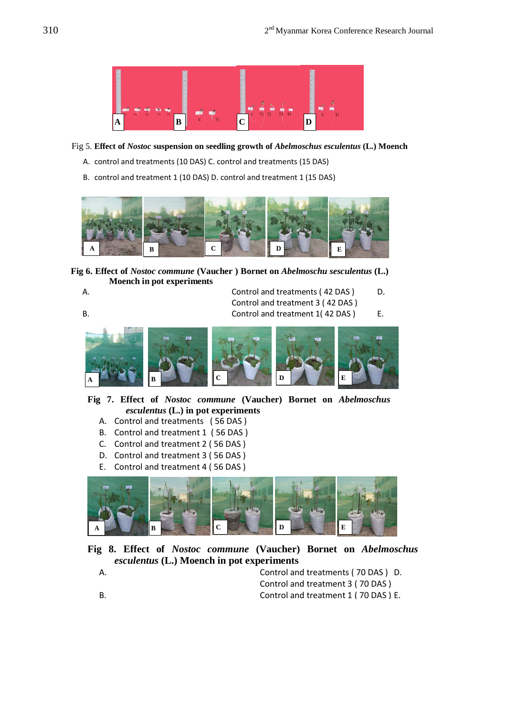

#### Fig 5. **Effect of** *Nostoc* **suspension on seedling growth of** *Abelmoschus esculentus* **(L.) Moench**

- A. control and treatments (10 DAS) C. control and treatments (15 DAS)
- B. control and treatment 1 (10 DAS) D. control and treatment 1 (15 DAS)



**Fig 6. Effect of** *Nostoc commune* **(Vaucher ) Bornet on** *Abelmoschu sesculentus* **(L.) Moench in pot experiments**

A. Control and treatments (42 DAS) D. Control and treatment 3 ( 42 DAS ) B. Control and treatment 1(42 DAS) E.

Control and treatment 4 ( 42 DAS ) C. Control and treatment 2 ( 42 DAS ) and treatment 2 ( 42 DAS ) and the control and treatment 2 ( 42 DAS ) and **A B C D E**

**Fig 7. Effect of** *Nostoc commune* **(Vaucher) Bornet on** *Abelmoschus esculentus* **(L.) in pot experiments**

- A. Control and treatments ( 56 DAS )
- B. Control and treatment 1 ( 56 DAS )
- C. Control and treatment 2 ( 56 DAS )
- D. Control and treatment 3 ( 56 DAS )
- E. Control and treatment 4 ( 56 DAS )



**Fig 8. Effect of** *Nostoc commune* **(Vaucher) Bornet on** *Abelmoschus esculentus* **(L.) Moench in pot experiments**

A. Control and treatments ( 70 DAS ) D. Control and treatment 3 ( 70 DAS ) B. Control and treatment 1 ( 70 DAS ) E.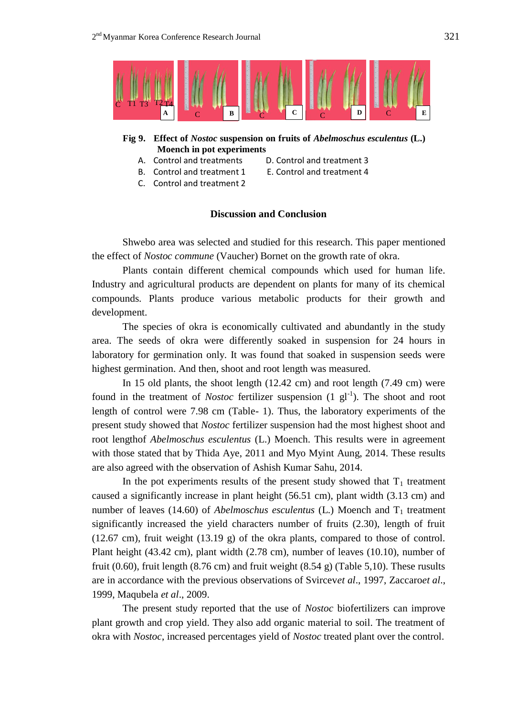

## **Fig 9. Effect of** *Nostoc* **suspension on fruits of** *Abelmoschus esculentus* **(L.) Moench in pot experiments**

- A. Control and treatments D. Control and treatment 3
	-
- C. Control and treatment 2
- B. Control and treatment 1 E. Control and treatment 4
	-

### **Discussion and Conclusion**

Shwebo area was selected and studied for this research. This paper mentioned the effect of *Nostoc commune* (Vaucher) Bornet on the growth rate of okra.

Plants contain different chemical compounds which used for human life. Industry and agricultural products are dependent on plants for many of its chemical compounds. Plants produce various metabolic products for their growth and development.

The species of okra is economically cultivated and abundantly in the study area. The seeds of okra were differently soaked in suspension for 24 hours in laboratory for germination only. It was found that soaked in suspension seeds were highest germination. And then, shoot and root length was measured.

In 15 old plants, the shoot length (12.42 cm) and root length (7.49 cm) were found in the treatment of *Nostoc* fertilizer suspension  $(1 \text{ gl}^{-1})$ . The shoot and root length of control were 7.98 cm (Table- 1). Thus, the laboratory experiments of the present study showed that *Nostoc* fertilizer suspension had the most highest shoot and root lengthof *Abelmoschus esculentus* (L.) Moench. This results were in agreement with those stated that by Thida Aye, 2011 and Myo Myint Aung, 2014. These results are also agreed with the observation of Ashish Kumar Sahu, 2014.

In the pot experiments results of the present study showed that  $T_1$  treatment caused a significantly increase in plant height (56.51 cm), plant width (3.13 cm) and number of leaves (14.60) of *Abelmoschus esculentus* (L.) Moench and  $T_1$  treatment significantly increased the yield characters number of fruits (2.30), length of fruit (12.67 cm), fruit weight (13.19 g) of the okra plants, compared to those of control. Plant height (43.42 cm), plant width (2.78 cm), number of leaves (10.10), number of fruit (0.60), fruit length (8.76 cm) and fruit weight (8.54 g) (Table 5,10). These rusults are in accordance with the previous observations of Svircev*et al*., 1997, Zaccaro*et al*., 1999, Maqubela *et al*., 2009.

The present study reported that the use of *Nostoc* biofertilizers can improve plant growth and crop yield. They also add organic material to soil. The treatment of okra with *Nostoc*, increased percentages yield of *Nostoc* treated plant over the control.